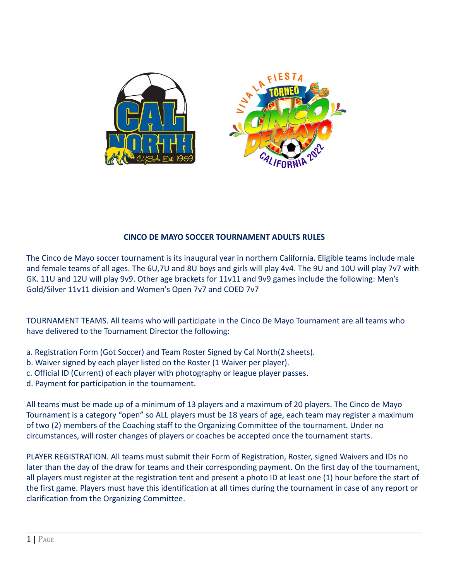

## **CINCO DE MAYO SOCCER TOURNAMENT ADULTS RULES**

The Cinco de Mayo soccer tournament is its inaugural year in northern California. Eligible teams include male and female teams of all ages. The 6U,7U and 8U boys and girls will play 4v4. The 9U and 10U will play 7v7 with GK. 11U and 12U will play 9v9. Other age brackets for 11v11 and 9v9 games include the following: Men's Gold/Silver 11v11 division and Women's Open 7v7 and COED 7v7

TOURNAMENT TEAMS. All teams who will participate in the Cinco De Mayo Tournament are all teams who have delivered to the Tournament Director the following:

- a. Registration Form (Got Soccer) and Team Roster Signed by Cal North(2 sheets).
- b. Waiver signed by each player listed on the Roster (1 Waiver per player).
- c. Official ID (Current) of each player with photography or league player passes.
- d. Payment for participation in the tournament.

All teams must be made up of a minimum of 13 players and a maximum of 20 players. The Cinco de Mayo Tournament is a category "open" so ALL players must be 18 years of age, each team may register a maximum of two (2) members of the Coaching staff to the Organizing Committee of the tournament. Under no circumstances, will roster changes of players or coaches be accepted once the tournament starts.

PLAYER REGISTRATION. All teams must submit their Form of Registration, Roster, signed Waivers and IDs no later than the day of the draw for teams and their corresponding payment. On the first day of the tournament, all players must register at the registration tent and present a photo ID at least one (1) hour before the start of the first game. Players must have this identification at all times during the tournament in case of any report or clarification from the Organizing Committee.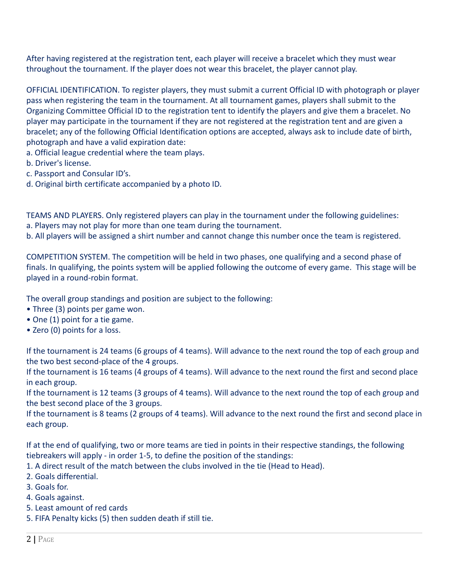After having registered at the registration tent, each player will receive a bracelet which they must wear throughout the tournament. If the player does not wear this bracelet, the player cannot play.

OFFICIAL IDENTIFICATION. To register players, they must submit a current Official ID with photograph or player pass when registering the team in the tournament. At all tournament games, players shall submit to the Organizing Committee Official ID to the registration tent to identify the players and give them a bracelet. No player may participate in the tournament if they are not registered at the registration tent and are given a bracelet; any of the following Official Identification options are accepted, always ask to include date of birth, photograph and have a valid expiration date:

- a. Official league credential where the team plays.
- b. Driver's license.
- c. Passport and Consular ID's.
- d. Original birth certificate accompanied by a photo ID.

TEAMS AND PLAYERS. Only registered players can play in the tournament under the following guidelines: a. Players may not play for more than one team during the tournament.

b. All players will be assigned a shirt number and cannot change this number once the team is registered.

COMPETITION SYSTEM. The competition will be held in two phases, one qualifying and a second phase of finals. In qualifying, the points system will be applied following the outcome of every game. This stage will be played in a round-robin format.

The overall group standings and position are subject to the following:

- Three (3) points per game won.
- One (1) point for a tie game.
- Zero (0) points for a loss.

If the tournament is 24 teams (6 groups of 4 teams). Will advance to the next round the top of each group and the two best second-place of the 4 groups.

If the tournament is 16 teams (4 groups of 4 teams). Will advance to the next round the first and second place in each group.

If the tournament is 12 teams (3 groups of 4 teams). Will advance to the next round the top of each group and the best second place of the 3 groups.

If the tournament is 8 teams (2 groups of 4 teams). Will advance to the next round the first and second place in each group.

If at the end of qualifying, two or more teams are tied in points in their respective standings, the following tiebreakers will apply - in order 1-5, to define the position of the standings:

- 1. A direct result of the match between the clubs involved in the tie (Head to Head).
- 2. Goals differential.
- 3. Goals for.
- 4. Goals against.
- 5. Least amount of red cards
- 5. FIFA Penalty kicks (5) then sudden death if still tie.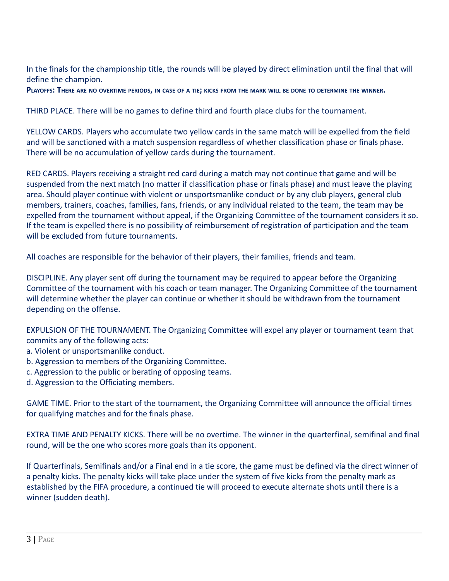In the finals for the championship title, the rounds will be played by direct elimination until the final that will define the champion.

PLAYOFFS: THERE ARE NO OVERTIME PERIODS, IN CASE OF A TIE; KICKS FROM THE MARK WILL BE DONE TO DETERMINE THE WINNER.

THIRD PLACE. There will be no games to define third and fourth place clubs for the tournament.

YELLOW CARDS. Players who accumulate two yellow cards in the same match will be expelled from the field and will be sanctioned with a match suspension regardless of whether classification phase or finals phase. There will be no accumulation of yellow cards during the tournament.

RED CARDS. Players receiving a straight red card during a match may not continue that game and will be suspended from the next match (no matter if classification phase or finals phase) and must leave the playing area. Should player continue with violent or unsportsmanlike conduct or by any club players, general club members, trainers, coaches, families, fans, friends, or any individual related to the team, the team may be expelled from the tournament without appeal, if the Organizing Committee of the tournament considers it so. If the team is expelled there is no possibility of reimbursement of registration of participation and the team will be excluded from future tournaments.

All coaches are responsible for the behavior of their players, their families, friends and team.

DISCIPLINE. Any player sent off during the tournament may be required to appear before the Organizing Committee of the tournament with his coach or team manager. The Organizing Committee of the tournament will determine whether the player can continue or whether it should be withdrawn from the tournament depending on the offense.

EXPULSION OF THE TOURNAMENT. The Organizing Committee will expel any player or tournament team that commits any of the following acts:

- a. Violent or unsportsmanlike conduct.
- b. Aggression to members of the Organizing Committee.
- c. Aggression to the public or berating of opposing teams.
- d. Aggression to the Officiating members.

GAME TIME. Prior to the start of the tournament, the Organizing Committee will announce the official times for qualifying matches and for the finals phase.

EXTRA TIME AND PENALTY KICKS. There will be no overtime. The winner in the quarterfinal, semifinal and final round, will be the one who scores more goals than its opponent.

If Quarterfinals, Semifinals and/or a Final end in a tie score, the game must be defined via the direct winner of a penalty kicks. The penalty kicks will take place under the system of five kicks from the penalty mark as established by the FIFA procedure, a continued tie will proceed to execute alternate shots until there is a winner (sudden death).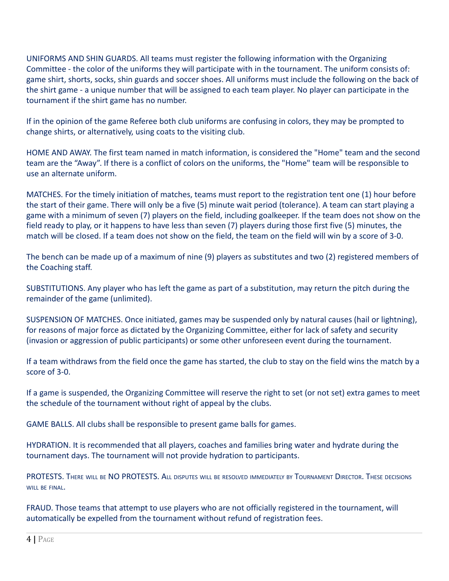UNIFORMS AND SHIN GUARDS. All teams must register the following information with the Organizing Committee - the color of the uniforms they will participate with in the tournament. The uniform consists of: game shirt, shorts, socks, shin guards and soccer shoes. All uniforms must include the following on the back of the shirt game - a unique number that will be assigned to each team player. No player can participate in the tournament if the shirt game has no number.

If in the opinion of the game Referee both club uniforms are confusing in colors, they may be prompted to change shirts, or alternatively, using coats to the visiting club.

HOME AND AWAY. The first team named in match information, is considered the "Home" team and the second team are the "Away". If there is a conflict of colors on the uniforms, the "Home" team will be responsible to use an alternate uniform.

MATCHES. For the timely initiation of matches, teams must report to the registration tent one (1) hour before the start of their game. There will only be a five (5) minute wait period (tolerance). A team can start playing a game with a minimum of seven (7) players on the field, including goalkeeper. If the team does not show on the field ready to play, or it happens to have less than seven (7) players during those first five (5) minutes, the match will be closed. If a team does not show on the field, the team on the field will win by a score of 3-0.

The bench can be made up of a maximum of nine (9) players as substitutes and two (2) registered members of the Coaching staff.

SUBSTITUTIONS. Any player who has left the game as part of a substitution, may return the pitch during the remainder of the game (unlimited).

SUSPENSION OF MATCHES. Once initiated, games may be suspended only by natural causes (hail or lightning), for reasons of major force as dictated by the Organizing Committee, either for lack of safety and security (invasion or aggression of public participants) or some other unforeseen event during the tournament.

If a team withdraws from the field once the game has started, the club to stay on the field wins the match by a score of 3-0.

If a game is suspended, the Organizing Committee will reserve the right to set (or not set) extra games to meet the schedule of the tournament without right of appeal by the clubs.

GAME BALLS. All clubs shall be responsible to present game balls for games.

HYDRATION. It is recommended that all players, coaches and families bring water and hydrate during the tournament days. The tournament will not provide hydration to participants.

PROTESTS. THERE WILL BE NO PROTESTS. ALL DISPUTES WILL BE RESOLVED IMMEDIATELY BY TOURNAMENT DIRECTOR. THESE DECISIONS WILL BE FINAL.

FRAUD. Those teams that attempt to use players who are not officially registered in the tournament, will automatically be expelled from the tournament without refund of registration fees.